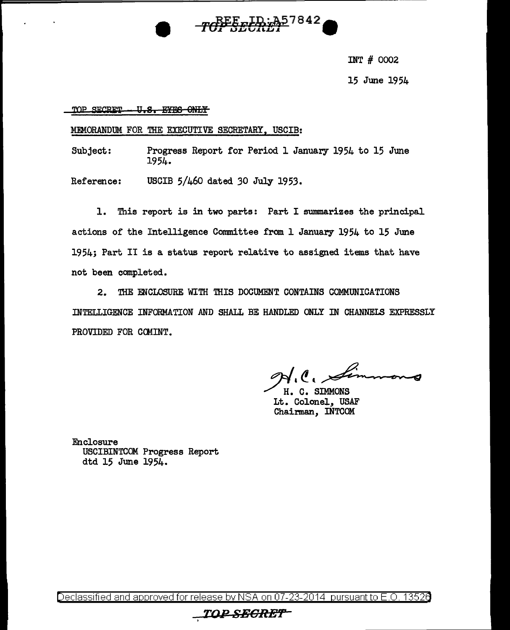

INT # 0002

15 June 1954

TOP SECRET U.S. EYES ONLY

MEMORANDUM FOR THE EXECUTIVE SECRETARY, USCIB:

Subject: Progress Report for Period 1 January 1954 to 15 June 1954.

Reference: USCIB 5/460 dated 30 July 1953.

This report is in two parts: Part I summarizes the principal l. actions of the Intelligence Committee from 1 January 1954 to 15 June 1954; Part II is a status report relative to assigned items that have not been completed.

THE ENCLOSURE WITH THIS DOCUMENT CONTAINS COMMUNICATIONS  $2.$ INTELLIGENCE INFORMATION AND SHALL BE HANDLED ONLY IN CHANNELS EXPRESSLY PROVIDED FOR COMINT.

 $l.\ell.\approx$ 

H. C. SIMMONS Lt. Colonel, USAF Chairman, INTCOM

Enclosure USCIBINTCOM Progress Report dtd 15 June 1954.

<u>Declassified and approved for release by NSA on 07-23-2014 pursuant to E.O.</u> 13526

# *TOP SEGRET*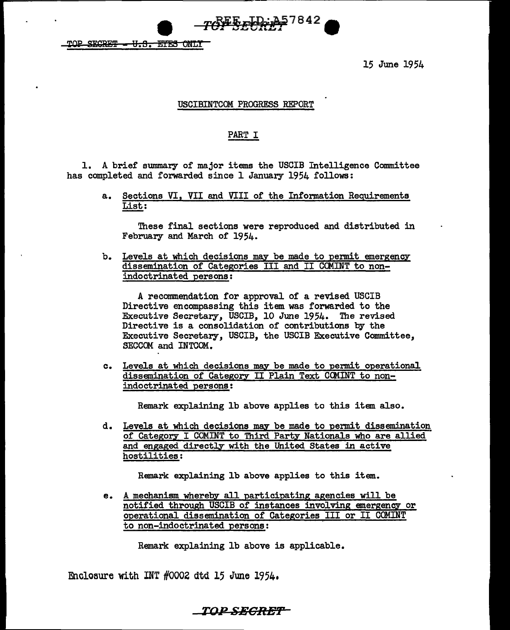TOP SECRET - U.S. EYES ONLY

15 June 1954

#### USCIBINTCOM PROGRESS REPORT

TOP STORE 1942

#### PART I

1. A brief swnmary of major items the USCIB Intelligence Committee has completed and forwarded since 1 January 1954 follows:

> a. Sections VI, VII and VIII of the Information Reguirements List:

These final sections were reproduced and distributed in February and March of 1954.

b. Levels at which decisions may be made to permit emergency dissemination of Categories III and II CCMINT to nonindoctrinated persons:

A recommendation for approval of a revised USCIB Directive encompassing this item was forwarded to the Executive Secretary, USCIB, 10 June 1954. The revised Directive is a consolidation of contributions by the Executive Secretary, USCIB, the USCIB Executive Committee, SECCCM and INTCOM.

c. Levels at which decisions may be made to permit operational dissemination of Category II Plain Text CCMINT to nonindoctrinated persons:

Remark explaining lb above applies to this item also.

d. Levels at which decisions may be made to permit dissemination of Category I COMINT to Third Party Nationals who are allied and engaged directly with the United States in active hostilities:

Remark explaining lb above applies to this item.

e. A mechanism. whereby all participating agencies will be notified through USCIB of instances involving emergency or operational dissemination of Categories III or II COMINT to non-indoctrinated persons:

Remark explaining lb above is applicable.

Encloeure with INT #OOOZ dtd 15 June 1954.

**TOPSECRBT**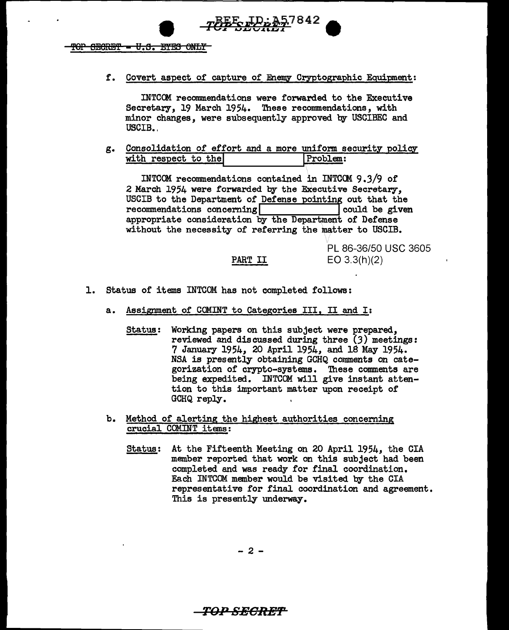$TOP$  SECRET  $- U.S.$  EYES ONLY

f. Covert aspect of capture of Enemy Cryptographic Equipment:

• rlfPsJ8ittT*<sup>1842</sup>***e** 

INTCOM recommendations were forwarded to the Executive Secretary, 19 March 1954. These recommendations, with minor changes, were subsequently approved by USCIBEC and USCIB.

g. Consolidation of effort and a more unifonn securit with respect to the Problem:

INTCOM recommendations contained in INTCCM 9.3/9 of 2 March 1954 were forwarded by the Executive Secretary, USCIB to the Department of Defense pointing out that the recommendations concerning  $\begin{bmatrix} 1 & 0 & 0 \\ 0 & 0 & 0 \\ 0 & 0 & 0 \end{bmatrix}$  could be given  $recommendations concerning$ appropriate consideration by the Department of Defense without the necessity of referring the matter to USCIB.

#### PART II

PL 86-36/50 USC 3605 EO 3.3(h)(2)

- 1. Status of items INTCOM has not completed follows:
	- a. Assignment of COMINT to Categories III, II and I:
		- Status: Working papers on this subject were prepared, reviewed and discussed during three  $(3)$  meetings: 7 January 1954, 20 April 1954, and 18 May 1954. NSA is presently obtaining GCHQ comments on categorization of crypto-systems. These comments are being expedited. INTCOM will give instant attention to this important matter upon receipt of GCHQ reply.
	- b. Method of alerting the highest authorities conceming crucial COMINT items:
		- Status: At the Fifteenth Meeting on 20 April 1954, the CIA member reported that work on this subject had been completed and was ready for final coordination. Each INTCOM member would be visited by the CIA representative for final coordination and agreement. This is presently underway.

- 2 -

## T01° **SEGREf'**